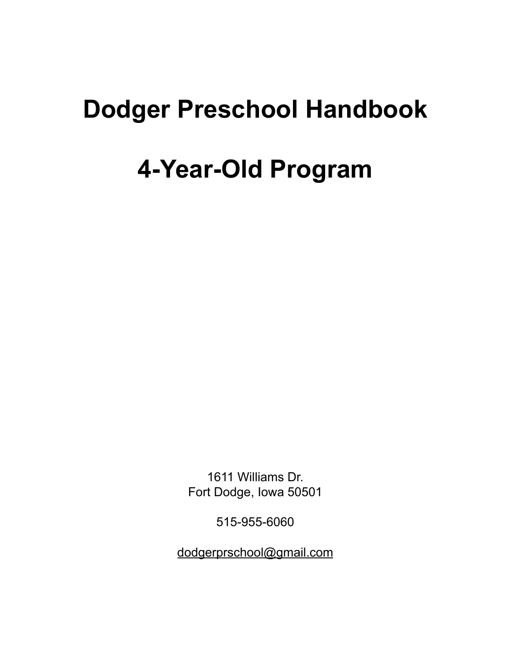# **Dodger Preschool Handbook**

## **4-Year-Old Program**

1611 Williams Dr. Fort Dodge, Iowa 50501

515-955-6060

[dodgerprschool@gmail.com](mailto:dodgerprschool@gmail.com)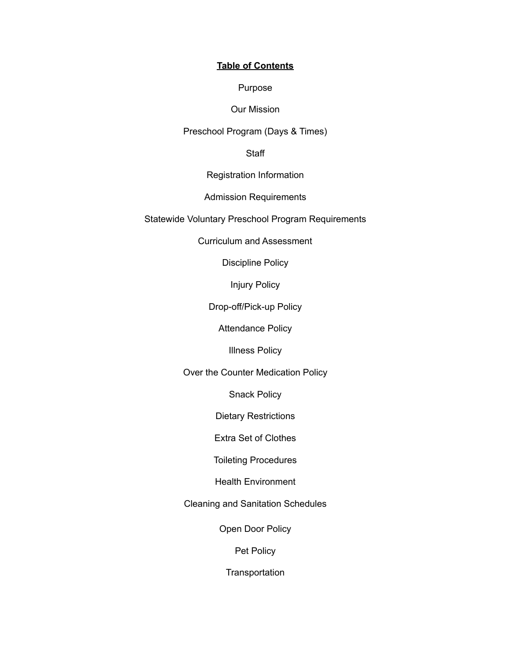#### **Table of Contents**

#### Purpose

#### Our Mission

#### Preschool Program (Days & Times)

#### **Staff**

#### Registration Information

#### Admission Requirements

#### Statewide Voluntary Preschool Program Requirements

#### Curriculum and Assessment

#### Discipline Policy

#### Injury Policy

#### Drop-off/Pick-up Policy

#### Attendance Policy

#### Illness Policy

#### Over the Counter Medication Policy

#### Snack Policy

#### Dietary Restrictions

## Extra Set of Clothes

#### Toileting Procedures

#### Health Environment

#### Cleaning and Sanitation Schedules

#### Open Door Policy

#### Pet Policy

#### **Transportation**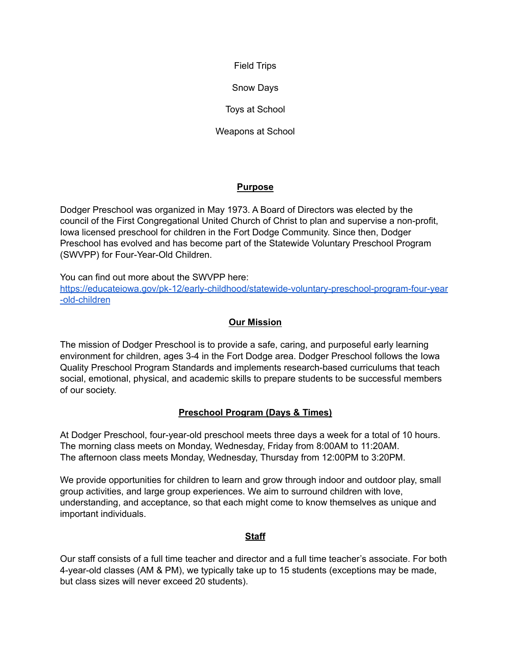Field Trips

Snow Days

Toys at School

Weapons at School

## **Purpose**

Dodger Preschool was organized in May 1973. A Board of Directors was elected by the council of the First Congregational United Church of Christ to plan and supervise a non-profit, Iowa licensed preschool for children in the Fort Dodge Community. Since then, Dodger Preschool has evolved and has become part of the Statewide Voluntary Preschool Program (SWVPP) for Four-Year-Old Children.

You can find out more about the SWVPP here: [https://educateiowa.gov/pk-12/early-childhood/statewide-voluntary-preschool-program-four-year](https://educateiowa.gov/pk-12/early-childhood/statewide-voluntary-preschool-program-four-year-old-children) [-old-children](https://educateiowa.gov/pk-12/early-childhood/statewide-voluntary-preschool-program-four-year-old-children)

## **Our Mission**

The mission of Dodger Preschool is to provide a safe, caring, and purposeful early learning environment for children, ages 3-4 in the Fort Dodge area. Dodger Preschool follows the Iowa Quality Preschool Program Standards and implements research-based curriculums that teach social, emotional, physical, and academic skills to prepare students to be successful members of our society.

## **Preschool Program (Days & Times)**

At Dodger Preschool, four-year-old preschool meets three days a week for a total of 10 hours. The morning class meets on Monday, Wednesday, Friday from 8:00AM to 11:20AM. The afternoon class meets Monday, Wednesday, Thursday from 12:00PM to 3:20PM.

We provide opportunities for children to learn and grow through indoor and outdoor play, small group activities, and large group experiences. We aim to surround children with love, understanding, and acceptance, so that each might come to know themselves as unique and important individuals.

## **Staff**

Our staff consists of a full time teacher and director and a full time teacher's associate. For both 4-year-old classes (AM & PM), we typically take up to 15 students (exceptions may be made, but class sizes will never exceed 20 students).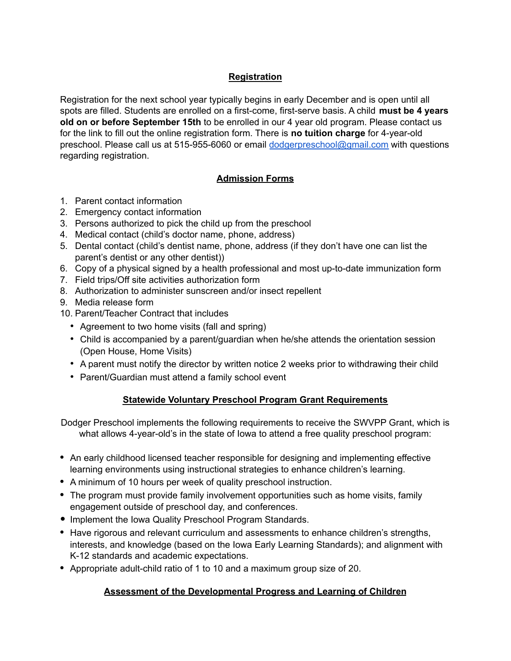## **Registration**

Registration for the next school year typically begins in early December and is open until all spots are filled. Students are enrolled on a first-come, first-serve basis. A child **must be 4 years old on or before September 15th** to be enrolled in our 4 year old program. Please contact us for the link to fill out the online registration form. There is **no tuition charge** for 4-year-old preschool. Please call us at 515-955-6060 or email [dodgerpreschool@gmail.com](mailto:dodgerpreschool@gmail.com) with questions regarding registration.

## **Admission Forms**

- 1. Parent contact information
- 2. Emergency contact information
- 3. Persons authorized to pick the child up from the preschool
- 4. Medical contact (child's doctor name, phone, address)
- 5. Dental contact (child's dentist name, phone, address (if they don't have one can list the parent's dentist or any other dentist))
- 6. Copy of a physical signed by a health professional and most up-to-date immunization form
- 7. Field trips/Off site activities authorization form
- 8. Authorization to administer sunscreen and/or insect repellent
- 9. Media release form
- 10. Parent/Teacher Contract that includes
	- Agreement to two home visits (fall and spring)
	- Child is accompanied by a parent/guardian when he/she attends the orientation session (Open House, Home Visits)
	- A parent must notify the director by written notice 2 weeks prior to withdrawing their child
	- Parent/Guardian must attend a family school event

## **Statewide Voluntary Preschool Program Grant Requirements**

Dodger Preschool implements the following requirements to receive the SWVPP Grant, which is what allows 4-year-old's in the state of Iowa to attend a free quality preschool program:

- **•** An early childhood licensed teacher responsible for designing and implementing effective learning environments using instructional strategies to enhance children's learning.
- **•** A minimum of 10 hours per week of quality preschool instruction.
- **•** The program must provide family involvement opportunities such as home visits, family engagement outside of preschool day, and conferences.
- **•** Implement the Iowa Quality Preschool Program Standards.
- **•** Have rigorous and relevant curriculum and assessments to enhance children's strengths, interests, and knowledge (based on the Iowa Early Learning Standards); and alignment with K-12 standards and academic expectations.
- **•** Appropriate adult-child ratio of 1 to 10 and a maximum group size of 20.

## **Assessment of the Developmental Progress and Learning of Children**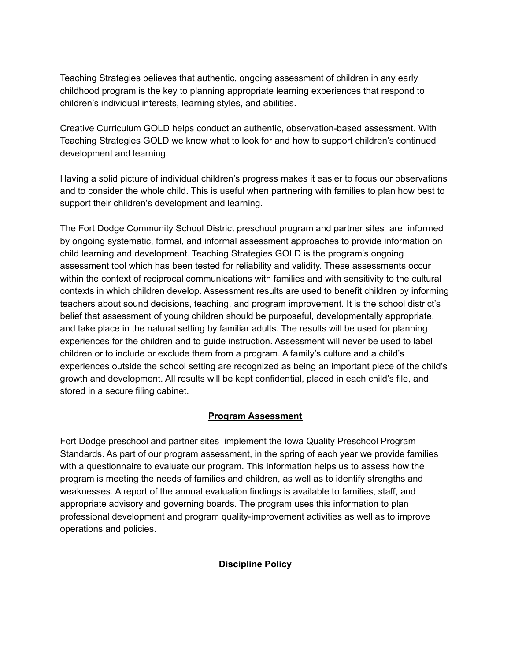Teaching Strategies believes that authentic, ongoing assessment of children in any early childhood program is the key to planning appropriate learning experiences that respond to children's individual interests, learning styles, and abilities.

Creative Curriculum GOLD helps conduct an authentic, observation-based assessment. With Teaching Strategies GOLD we know what to look for and how to support children's continued development and learning.

Having a solid picture of individual children's progress makes it easier to focus our observations and to consider the whole child. This is useful when partnering with families to plan how best to support their children's development and learning.

The Fort Dodge Community School District preschool program and partner sites are informed by ongoing systematic, formal, and informal assessment approaches to provide information on child learning and development. Teaching Strategies GOLD is the program's ongoing assessment tool which has been tested for reliability and validity. These assessments occur within the context of reciprocal communications with families and with sensitivity to the cultural contexts in which children develop. Assessment results are used to benefit children by informing teachers about sound decisions, teaching, and program improvement. It is the school district's belief that assessment of young children should be purposeful, developmentally appropriate, and take place in the natural setting by familiar adults. The results will be used for planning experiences for the children and to guide instruction. Assessment will never be used to label children or to include or exclude them from a program. A family's culture and a child's experiences outside the school setting are recognized as being an important piece of the child's growth and development. All results will be kept confidential, placed in each child's file, and stored in a secure filing cabinet.

## **Program Assessment**

Fort Dodge preschool and partner sites implement the Iowa Quality Preschool Program Standards. As part of our program assessment, in the spring of each year we provide families with a questionnaire to evaluate our program. This information helps us to assess how the program is meeting the needs of families and children, as well as to identify strengths and weaknesses. A report of the annual evaluation findings is available to families, staff, and appropriate advisory and governing boards. The program uses this information to plan professional development and program quality-improvement activities as well as to improve operations and policies.

## **Discipline Policy**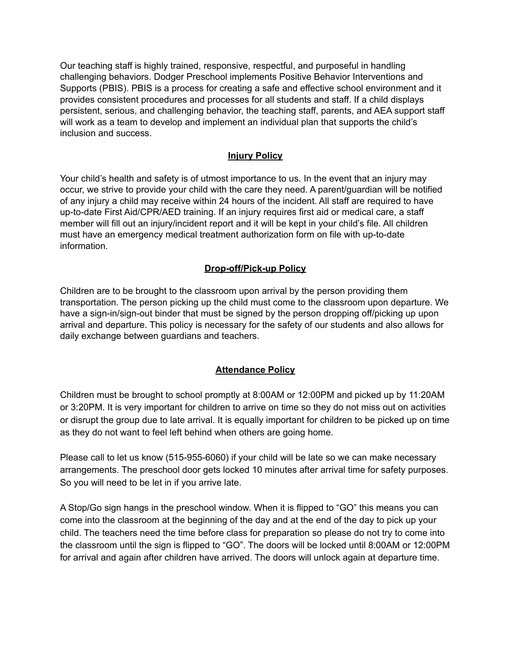Our teaching staff is highly trained, responsive, respectful, and purposeful in handling challenging behaviors. Dodger Preschool implements Positive Behavior Interventions and Supports (PBIS). PBIS is a process for creating a safe and effective school environment and it provides consistent procedures and processes for all students and staff. If a child displays persistent, serious, and challenging behavior, the teaching staff, parents, and AEA support staff will work as a team to develop and implement an individual plan that supports the child's inclusion and success.

## **Injury Policy**

Your child's health and safety is of utmost importance to us. In the event that an injury may occur, we strive to provide your child with the care they need. A parent/guardian will be notified of any injury a child may receive within 24 hours of the incident. All staff are required to have up-to-date First Aid/CPR/AED training. If an injury requires first aid or medical care, a staff member will fill out an injury/incident report and it will be kept in your child's file. All children must have an emergency medical treatment authorization form on file with up-to-date information.

#### **Drop-off/Pick-up Policy**

Children are to be brought to the classroom upon arrival by the person providing them transportation. The person picking up the child must come to the classroom upon departure. We have a sign-in/sign-out binder that must be signed by the person dropping off/picking up upon arrival and departure. This policy is necessary for the safety of our students and also allows for daily exchange between guardians and teachers.

#### **Attendance Policy**

Children must be brought to school promptly at 8:00AM or 12:00PM and picked up by 11:20AM or 3:20PM. It is very important for children to arrive on time so they do not miss out on activities or disrupt the group due to late arrival. It is equally important for children to be picked up on time as they do not want to feel left behind when others are going home.

Please call to let us know (515-955-6060) if your child will be late so we can make necessary arrangements. The preschool door gets locked 10 minutes after arrival time for safety purposes. So you will need to be let in if you arrive late.

A Stop/Go sign hangs in the preschool window. When it is flipped to "GO" this means you can come into the classroom at the beginning of the day and at the end of the day to pick up your child. The teachers need the time before class for preparation so please do not try to come into the classroom until the sign is flipped to "GO". The doors will be locked until 8:00AM or 12:00PM for arrival and again after children have arrived. The doors will unlock again at departure time.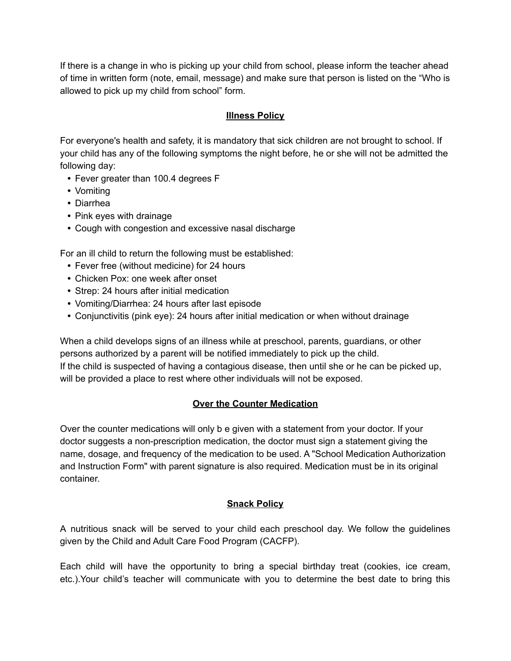If there is a change in who is picking up your child from school, please inform the teacher ahead of time in written form (note, email, message) and make sure that person is listed on the "Who is allowed to pick up my child from school" form.

## **Illness Policy**

For everyone's health and safety, it is mandatory that sick children are not brought to school. If your child has any of the following symptoms the night before, he or she will not be admitted the following day:

- **•** Fever greater than 100.4 degrees F
- **•** Vomiting
- **•** Diarrhea
- **•** Pink eyes with drainage
- **•** Cough with congestion and excessive nasal discharge

For an ill child to return the following must be established:

- **•** Fever free (without medicine) for 24 hours
- **•** Chicken Pox: one week after onset
- **•** Strep: 24 hours after initial medication
- **•** Vomiting/Diarrhea: 24 hours after last episode
- **•** Conjunctivitis (pink eye): 24 hours after initial medication or when without drainage

When a child develops signs of an illness while at preschool, parents, guardians, or other persons authorized by a parent will be notified immediately to pick up the child. If the child is suspected of having a contagious disease, then until she or he can be picked up, will be provided a place to rest where other individuals will not be exposed.

## **Over the Counter Medication**

Over the counter medications will only b e given with a statement from your doctor. If your doctor suggests a non-prescription medication, the doctor must sign a statement giving the name, dosage, and frequency of the medication to be used. A "School Medication Authorization and Instruction Form" with parent signature is also required. Medication must be in its original container.

## **Snack Policy**

A nutritious snack will be served to your child each preschool day. We follow the guidelines given by the Child and Adult Care Food Program (CACFP).

Each child will have the opportunity to bring a special birthday treat (cookies, ice cream, etc.).Your child's teacher will communicate with you to determine the best date to bring this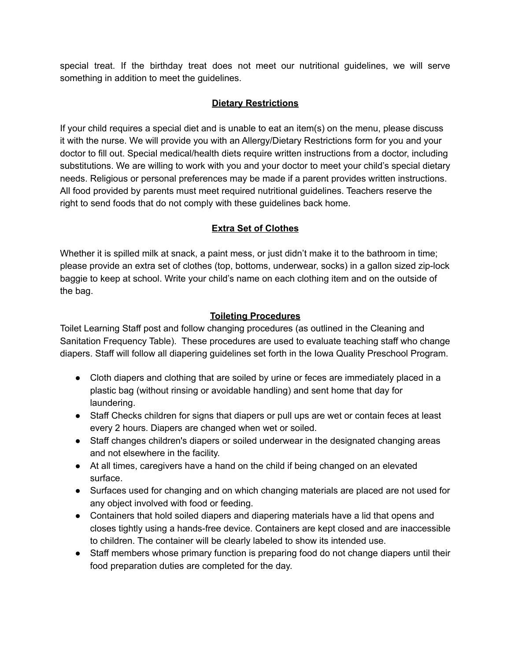special treat. If the birthday treat does not meet our nutritional guidelines, we will serve something in addition to meet the guidelines.

## **Dietary Restrictions**

If your child requires a special diet and is unable to eat an item(s) on the menu, please discuss it with the nurse. We will provide you with an Allergy/Dietary Restrictions form for you and your doctor to fill out. Special medical/health diets require written instructions from a doctor, including substitutions. We are willing to work with you and your doctor to meet your child's special dietary needs. Religious or personal preferences may be made if a parent provides written instructions. All food provided by parents must meet required nutritional guidelines. Teachers reserve the right to send foods that do not comply with these guidelines back home.

## **Extra Set of Clothes**

Whether it is spilled milk at snack, a paint mess, or just didn't make it to the bathroom in time; please provide an extra set of clothes (top, bottoms, underwear, socks) in a gallon sized zip-lock baggie to keep at school. Write your child's name on each clothing item and on the outside of the bag.

## **Toileting Procedures**

Toilet Learning Staff post and follow changing procedures (as outlined in the Cleaning and Sanitation Frequency Table). These procedures are used to evaluate teaching staff who change diapers. Staff will follow all diapering guidelines set forth in the Iowa Quality Preschool Program.

- Cloth diapers and clothing that are soiled by urine or feces are immediately placed in a plastic bag (without rinsing or avoidable handling) and sent home that day for laundering.
- Staff Checks children for signs that diapers or pull ups are wet or contain feces at least every 2 hours. Diapers are changed when wet or soiled.
- Staff changes children's diapers or soiled underwear in the designated changing areas and not elsewhere in the facility.
- At all times, caregivers have a hand on the child if being changed on an elevated surface.
- Surfaces used for changing and on which changing materials are placed are not used for any object involved with food or feeding.
- Containers that hold soiled diapers and diapering materials have a lid that opens and closes tightly using a hands-free device. Containers are kept closed and are inaccessible to children. The container will be clearly labeled to show its intended use.
- Staff members whose primary function is preparing food do not change diapers until their food preparation duties are completed for the day.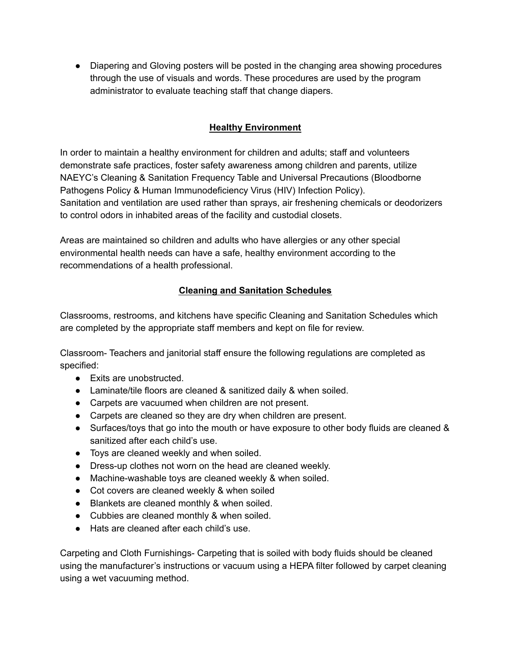• Diapering and Gloving posters will be posted in the changing area showing procedures through the use of visuals and words. These procedures are used by the program administrator to evaluate teaching staff that change diapers.

## **Healthy Environment**

In order to maintain a healthy environment for children and adults; staff and volunteers demonstrate safe practices, foster safety awareness among children and parents, utilize NAEYC's Cleaning & Sanitation Frequency Table and Universal Precautions (Bloodborne Pathogens Policy & Human Immunodeficiency Virus (HIV) Infection Policy). Sanitation and ventilation are used rather than sprays, air freshening chemicals or deodorizers to control odors in inhabited areas of the facility and custodial closets.

Areas are maintained so children and adults who have allergies or any other special environmental health needs can have a safe, healthy environment according to the recommendations of a health professional.

## **Cleaning and Sanitation Schedules**

Classrooms, restrooms, and kitchens have specific Cleaning and Sanitation Schedules which are completed by the appropriate staff members and kept on file for review.

Classroom- Teachers and janitorial staff ensure the following regulations are completed as specified:

- Exits are unobstructed.
- Laminate/tile floors are cleaned & sanitized daily & when soiled.
- Carpets are vacuumed when children are not present.
- Carpets are cleaned so they are dry when children are present.
- Surfaces/toys that go into the mouth or have exposure to other body fluids are cleaned & sanitized after each child's use.
- Toys are cleaned weekly and when soiled.
- Dress-up clothes not worn on the head are cleaned weekly.
- Machine-washable toys are cleaned weekly & when soiled.
- Cot covers are cleaned weekly & when soiled
- Blankets are cleaned monthly & when soiled.
- Cubbies are cleaned monthly & when soiled.
- Hats are cleaned after each child's use.

Carpeting and Cloth Furnishings- Carpeting that is soiled with body fluids should be cleaned using the manufacturer's instructions or vacuum using a HEPA filter followed by carpet cleaning using a wet vacuuming method.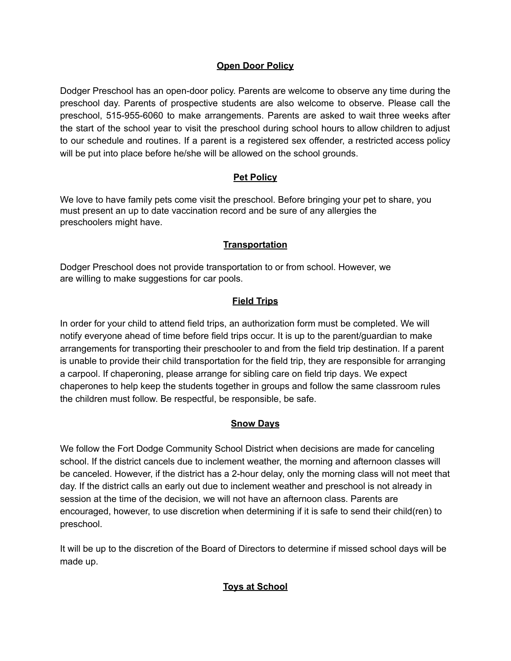#### **Open Door Policy**

Dodger Preschool has an open-door policy. Parents are welcome to observe any time during the preschool day. Parents of prospective students are also welcome to observe. Please call the preschool, 515-955-6060 to make arrangements. Parents are asked to wait three weeks after the start of the school year to visit the preschool during school hours to allow children to adjust to our schedule and routines. If a parent is a registered sex offender, a restricted access policy will be put into place before he/she will be allowed on the school grounds.

## **Pet Policy**

We love to have family pets come visit the preschool. Before bringing your pet to share, you must present an up to date vaccination record and be sure of any allergies the preschoolers might have.

#### **Transportation**

Dodger Preschool does not provide transportation to or from school. However, we are willing to make suggestions for car pools.

#### **Field Trips**

In order for your child to attend field trips, an authorization form must be completed. We will notify everyone ahead of time before field trips occur. It is up to the parent/guardian to make arrangements for transporting their preschooler to and from the field trip destination. If a parent is unable to provide their child transportation for the field trip, they are responsible for arranging a carpool. If chaperoning, please arrange for sibling care on field trip days. We expect chaperones to help keep the students together in groups and follow the same classroom rules the children must follow. Be respectful, be responsible, be safe.

#### **Snow Days**

We follow the Fort Dodge Community School District when decisions are made for canceling school. If the district cancels due to inclement weather, the morning and afternoon classes will be canceled. However, if the district has a 2-hour delay, only the morning class will not meet that day. If the district calls an early out due to inclement weather and preschool is not already in session at the time of the decision, we will not have an afternoon class. Parents are encouraged, however, to use discretion when determining if it is safe to send their child(ren) to preschool.

It will be up to the discretion of the Board of Directors to determine if missed school days will be made up.

## **Toys at School**